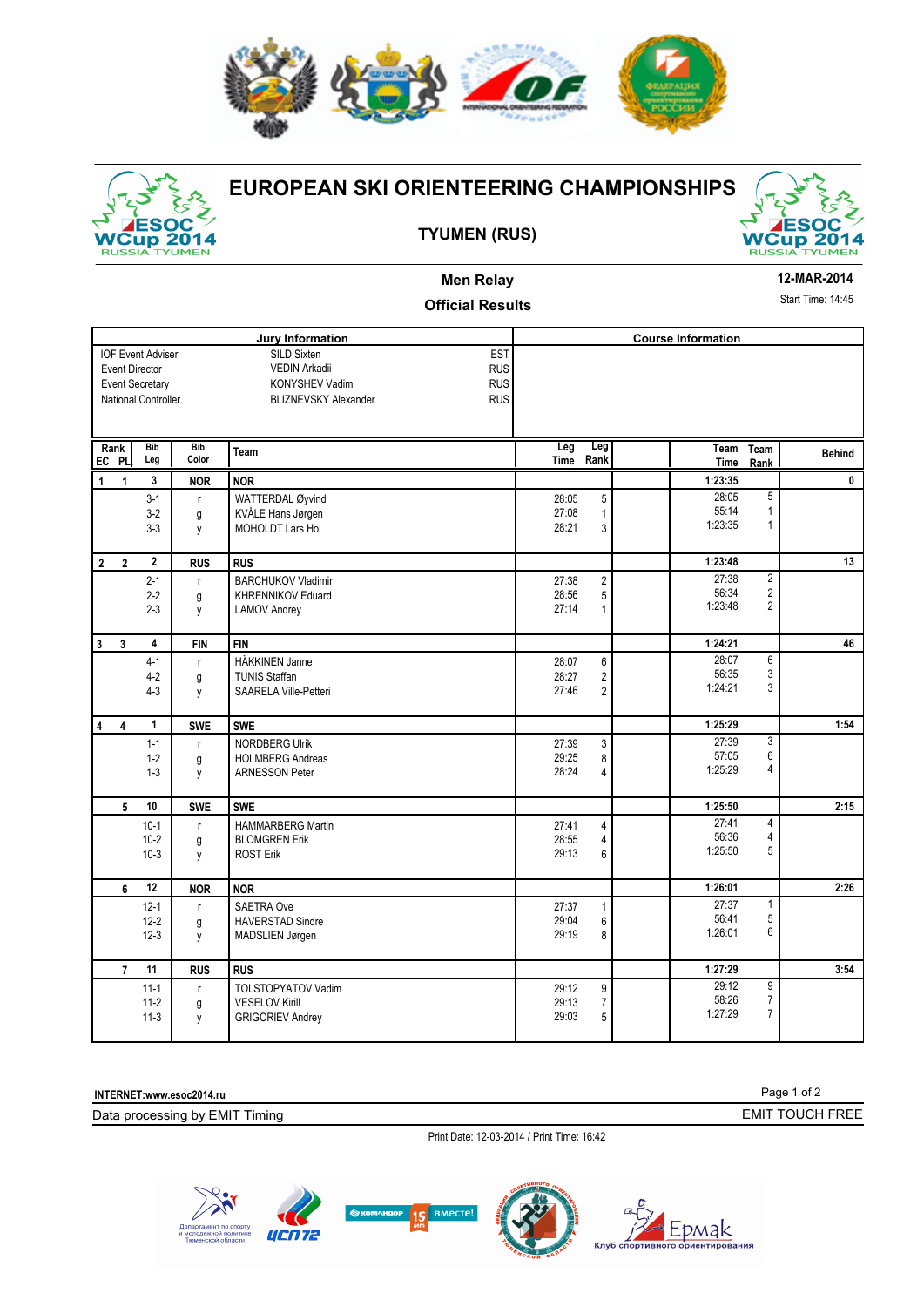



# **EUROPEAN SKI ORIENTEERING CHAMPIONSHIPS**

### **TYUMEN (RUS)**



## **Men Relay**

#### **12-MAR-2014**

Start Time: 14:45

| <b>Start Time: 14:45</b><br><b>Official Results</b>                                                 |                                |                        |                                                                                                                                              |                                                                           |                                                                                 |               |
|-----------------------------------------------------------------------------------------------------|--------------------------------|------------------------|----------------------------------------------------------------------------------------------------------------------------------------------|---------------------------------------------------------------------------|---------------------------------------------------------------------------------|---------------|
|                                                                                                     |                                |                        | <b>Jury Information</b>                                                                                                                      |                                                                           | <b>Course Information</b>                                                       |               |
| <b>IOF Event Adviser</b><br><b>Event Director</b><br><b>Event Secretary</b><br>National Controller. |                                |                        | <b>EST</b><br>SILD Sixten<br><b>RUS</b><br><b>VEDIN Arkadii</b><br><b>RUS</b><br>KONYSHEV Vadim<br><b>RUS</b><br><b>BLIZNEVSKY Alexander</b> |                                                                           |                                                                                 |               |
| Rank<br>EC PL                                                                                       | Bib<br>Leg                     | <b>Bib</b><br>Color    | Team                                                                                                                                         | Leg<br>Leg<br>Rank<br><b>Time</b>                                         | Team<br>Team<br>Time<br>Rank                                                    | <b>Behind</b> |
| 1<br>$\mathbf{1}$                                                                                   | 3                              | <b>NOR</b>             | <b>NOR</b>                                                                                                                                   |                                                                           | 1:23:35                                                                         | 0             |
|                                                                                                     | $3-1$<br>$3-2$<br>$3-3$        | $\mathsf{r}$<br>g<br>y | WATTERDAL Øyvind<br>KVÅLE Hans Jørgen<br><b>MOHOLDT Lars Hol</b>                                                                             | 5<br>28:05<br>27:08<br>$\mathbf{1}$<br>28:21<br>3                         | 5<br>28:05<br>55:14<br>$\mathbf{1}$<br>1:23:35<br>1                             |               |
| $\mathbf 2$<br>2 <sup>1</sup>                                                                       | $\mathbf{2}$                   | <b>RUS</b>             | <b>RUS</b>                                                                                                                                   |                                                                           | 1:23:48                                                                         | 13            |
|                                                                                                     | $2 - 1$<br>$2 - 2$<br>$2 - 3$  | $\mathsf{r}$<br>g<br>y | <b>BARCHUKOV Vladimir</b><br><b>KHRENNIKOV Eduard</b><br><b>LAMOV Andrey</b>                                                                 | $\overline{\mathbf{c}}$<br>27:38<br>5<br>28:56<br>27:14<br>$\mathbf{1}$   | $\overline{2}$<br>27:38<br>$\overline{2}$<br>56:34<br>$\overline{2}$<br>1:23:48 |               |
| 3<br>$\mathbf{3}$                                                                                   | 4                              | <b>FIN</b>             | <b>FIN</b>                                                                                                                                   |                                                                           | 1:24:21                                                                         | 46            |
|                                                                                                     | $4-1$<br>$4-2$<br>$4 - 3$      | $\mathsf{r}$<br>g<br>y | <b>HÄKKINEN Janne</b><br><b>TUNIS Staffan</b><br>SAARELA Ville-Petteri                                                                       | 6<br>28:07<br>28:27<br>$\overline{\mathbf{c}}$<br>27:46<br>$\overline{2}$ | 6<br>28:07<br>3<br>56:35<br>1:24:21<br>3                                        |               |
| 4<br>$\overline{4}$                                                                                 | $\mathbf{1}$                   | <b>SWE</b>             | <b>SWE</b>                                                                                                                                   |                                                                           | 1:25:29                                                                         | 1:54          |
|                                                                                                     | $1 - 1$<br>$1 - 2$<br>$1 - 3$  | r<br>g<br>y            | <b>NORDBERG Ulrik</b><br><b>HOLMBERG Andreas</b><br><b>ARNESSON Peter</b>                                                                    | 3<br>27:39<br>29:25<br>8<br>28:24<br>4                                    | 3<br>27:39<br>6<br>57:05<br>1:25:29<br>4                                        |               |
| 5 <sup>1</sup>                                                                                      | 10                             | <b>SWE</b>             | <b>SWE</b>                                                                                                                                   |                                                                           | 1:25:50                                                                         | 2:15          |
|                                                                                                     | $10-1$<br>$10 - 2$<br>$10-3$   | $\mathsf{r}$<br>g<br>y | <b>HAMMARBERG Martin</b><br><b>BLOMGREN Erik</b><br><b>ROST Erik</b>                                                                         | 4<br>27:41<br>28:55<br>$\sqrt{4}$<br>29:13<br>6                           | 4<br>27:41<br>56:36<br>4<br>5<br>1:25:50                                        |               |
| 6                                                                                                   | 12                             | <b>NOR</b>             | <b>NOR</b>                                                                                                                                   |                                                                           | 1:26:01                                                                         | 2:26          |
|                                                                                                     | $12 - 1$<br>$12 - 2$<br>$12-3$ | $\mathsf{r}$<br>g<br>y | <b>SAETRA Ove</b><br><b>HAVERSTAD Sindre</b><br>MADSLIEN Jørgen                                                                              | 27:37<br>$\mathbf{1}$<br>29:04<br>6<br>8<br>29:19                         | 27:37<br>1<br>5<br>56:41<br>6<br>1:26:01                                        |               |
| $\overline{7}$                                                                                      | 11                             | <b>RUS</b>             | <b>RUS</b>                                                                                                                                   |                                                                           | 1:27:29                                                                         | 3:54          |

**INTERNET:www.esoc2014.ru** 

Data processing by EMIT Timing

11-3 y GRIGORIEV Andrey

Print Date: 12-03-2014 / Print Time: 16:42

29:12 29:13



11-1 r TOLSTOPYATOV Vadim<br>
11-2 g VESELOV Kirill 11-3 y GRIGORIEV Andrey 11-3 y SRIGORIEV Andrey 11-3 9 29:03 5 e die versies van die versies van die versies van die versies van die versies van die versies van die versies v<br>129:03 versies van die versies van die versies van die versies van die versies van die versies van die versies



29:03 5 1:27:29 7

Page 1 of 2 EMIT TOUCH FREE

 $\begin{array}{c} 9 \\ 7 \\ 7 \end{array}$ 

29:12 58:26 7